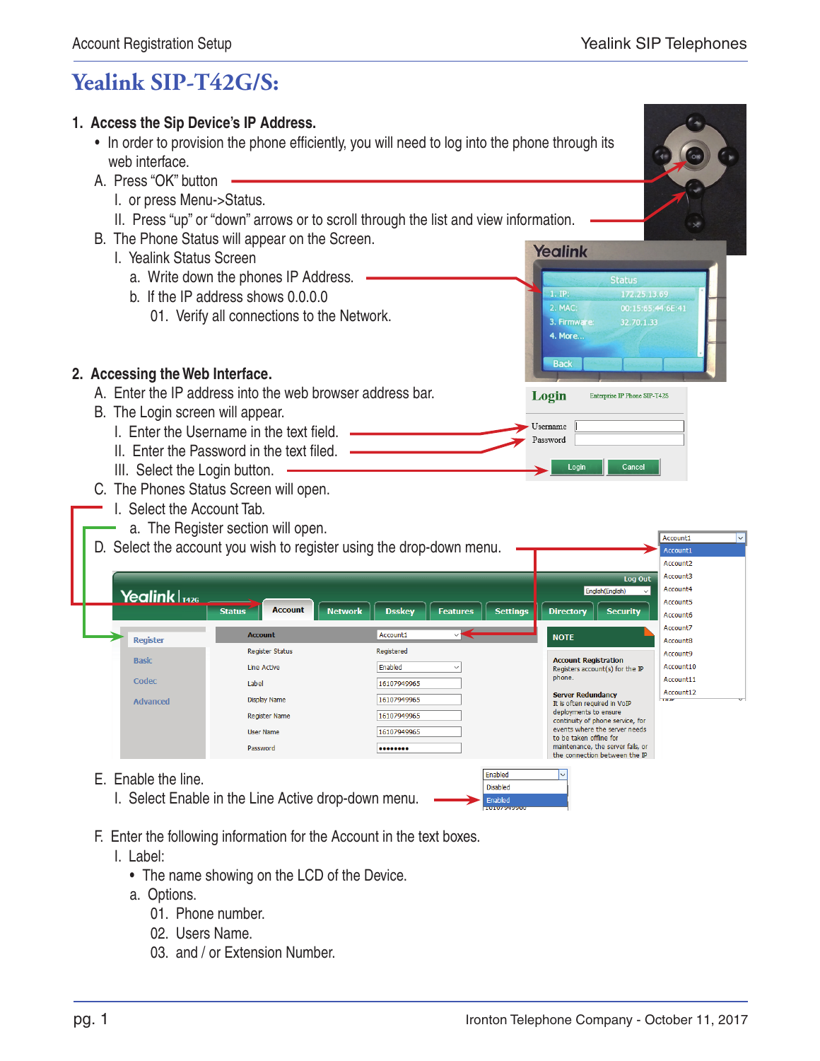**Yealink** 

1. IP. 2. MAC: 3. Firmware:

**4. More.** 

**Back** 

Login

Login

 $\blacktriangleright$  Username Password

**Status** 

32.70.1.33

Enterprise IP Phone SIP-T42S

Cancel

Account1

## **Yealink SIP-T42G/S:**



- In order to provision the phone efficiently, you will need to log into the phone through its web interface.
- A. Press "OK" button
	- I. or press Menu->Status.
	- II. Press "up" or "down" arrows or to scroll through the list and view information.
- B. The Phone Status will appear on the Screen.
	- I. Yealink Status Screen
		- a. Write down the phones IP Address.
		- b. If the IP address shows 0.0.0.0
			- 01. Verify all connections to the Network.



- A. Enter the IP address into the web browser address bar.
- B. The Login screen will appear.
	- I. Enter the Username in the text field.
	- II. Enter the Password in the text filed. .
	- III. Select the Login button.
- C. The Phones Status Screen will open.
	- I. Select the Account Tab.
	- a. The Register section will open.
- $\frac{0}{2}$

| D. Select the account you wish to register using the drop-down menu. |                                 |                                                                       |                                                          | Account1                 |
|----------------------------------------------------------------------|---------------------------------|-----------------------------------------------------------------------|----------------------------------------------------------|--------------------------|
|                                                                      |                                 |                                                                       |                                                          | Account <sub>2</sub>     |
|                                                                      |                                 |                                                                       | Log Out                                                  | Account3                 |
| Yealink $ _{T426}$                                                   |                                 |                                                                       | English(English)<br>$\checkmark$                         | Account4                 |
|                                                                      |                                 |                                                                       |                                                          | Account5                 |
|                                                                      | <b>Account</b><br><b>Status</b> | <b>Settings</b><br><b>Network</b><br><b>Dsskey</b><br><b>Features</b> | <b>Directory</b><br><b>Security</b>                      | Account6                 |
|                                                                      | <b>Account</b>                  | Account1                                                              |                                                          | Account7                 |
| <b>Register</b>                                                      |                                 |                                                                       | <b>NOTE</b>                                              | Account8                 |
| <b>Basic</b>                                                         | <b>Register Status</b>          | Registered                                                            | <b>Account Registration</b>                              | Account9                 |
|                                                                      | Line Active                     | Enabled<br>$\checkmark$                                               | Registers account(s) for the IP                          | Account10                |
| Codec                                                                | Label                           | 16107949965                                                           | phone.                                                   | Account11                |
| <b>Advanced</b>                                                      | Display Name                    | 16107949965                                                           | <b>Server Redundancy</b>                                 | Account12<br><b>THIP</b> |
|                                                                      |                                 |                                                                       | It is often required in VoIP<br>deployments to ensure    |                          |
|                                                                      | <b>Register Name</b>            | 16107949965                                                           | continuity of phone service, for                         |                          |
|                                                                      | <b>User Name</b>                | 16107949965                                                           | events where the server needs<br>to be taken offline for |                          |
|                                                                      | Password                        |                                                                       | maintenance, the server fails, or                        |                          |
|                                                                      |                                 |                                                                       | the connection between the IP                            |                          |
| Englade the line<br><u>г.</u>                                        |                                 | Enabled                                                               | $\overline{\vee}$                                        |                          |

Disabled

- E. Enable the line.
	- I. Select Enable in the Line Active drop-down menu.
- F. Enter the following information for the Account in the text boxes.
	- I. Label:
		- The name showing on the LCD of the Device.
		- a. Options.
			- 01. Phone number.
			- 02. Users Name.
			- 03. and / or Extension Number.